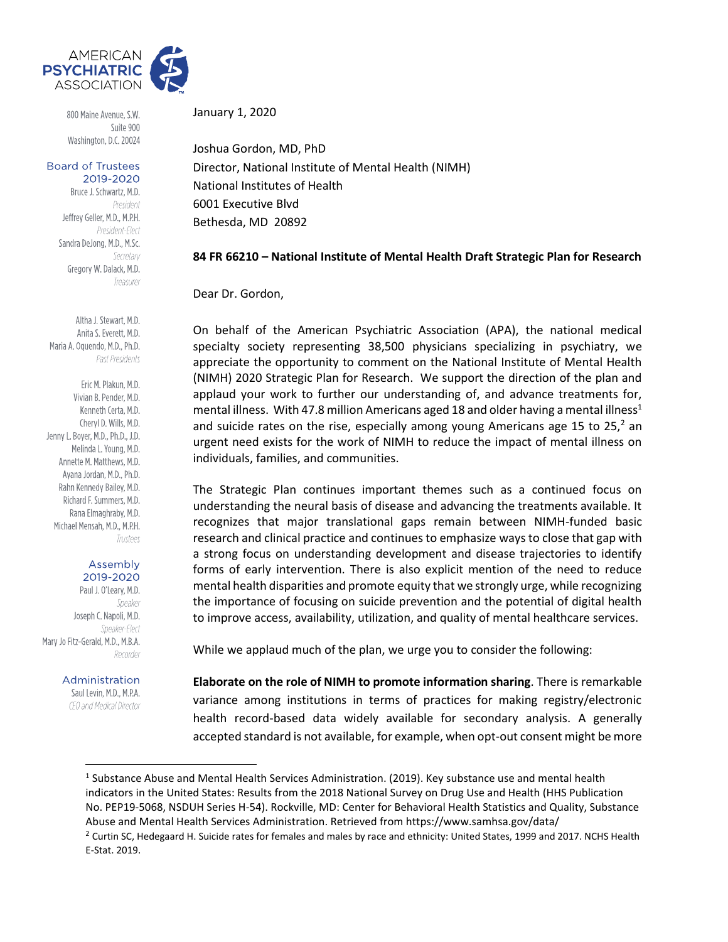

800 Maine Avenue, S.W. Suite 900 Washington, D.C. 20024

## **Board of Trustees** 2019-2020

Bruce J. Schwartz, M.D. President Jeffrey Geller, M.D., M.P.H. President-Flect Sandra DeJong, M.D., M.Sc. Secretary Gregory W. Dalack, M.D. Treasurer

Altha J. Stewart, M.D. Anita S. Everett, M.D. Maria A. Oquendo, M.D., Ph.D. Past Presidents

Eric M. Plakun, M.D. Vivian B. Pender, M.D. Kenneth Certa, M.D. Cheryl D. Wills, M.D. Jenny L. Boyer, M.D., Ph.D., J.D. Melinda L. Young, M.D. Annette M. Matthews, M.D. Avana Jordan, M.D., Ph.D. Rahn Kennedy Bailey, M.D. Richard F. Summers, M.D. Rana Elmaghraby, M.D. Michael Mensah, M.D., M.P.H. Trustees

## Assembly 2019-2020

Paul J. O'Leary, M.D. Speaker Joseph C. Napoli, M.D. Speaker-Flect Mary Jo Fitz-Gerald, M.D., M.B.A. Recorder

## Administration

Saul Levin, M.D., M.P.A. CEO and Medical Director

January 1, 2020

Joshua Gordon, MD, PhD Director, National Institute of Mental Health (NIMH) National Institutes of Health 6001 Executive Blvd Bethesda, MD 20892

## **84 FR 66210 – National Institute of Mental Health Draft Strategic Plan for Research**

Dear Dr. Gordon,

On behalf of the American Psychiatric Association (APA), the national medical specialty society representing 38,500 physicians specializing in psychiatry, we appreciate the opportunity to comment on the National Institute of Mental Health (NIMH) 2020 Strategic Plan for Research. We support the direction of the plan and applaud your work to further our understanding of, and advance treatments for, mental illness. With 47.8 million Americans aged 18 and older having a mental illness<sup>1</sup> and suicide rates on the rise, especially among young Americans age 15 to 25, $^2$  an urgent need exists for the work of NIMH to reduce the impact of mental illness on individuals, families, and communities.

The Strategic Plan continues important themes such as a continued focus on understanding the neural basis of disease and advancing the treatments available. It recognizes that major translational gaps remain between NIMH-funded basic research and clinical practice and continues to emphasize ways to close that gap with a strong focus on understanding development and disease trajectories to identify forms of early intervention. There is also explicit mention of the need to reduce mental health disparities and promote equity that we strongly urge, while recognizing the importance of focusing on suicide prevention and the potential of digital health to improve access, availability, utilization, and quality of mental healthcare services.

While we applaud much of the plan, we urge you to consider the following:

**Elaborate on the role of NIMH to promote information sharing**. There is remarkable variance among institutions in terms of practices for making registry/electronic health record-based data widely available for secondary analysis. A generally accepted standard is not available, for example, when opt-out consent might be more

<sup>&</sup>lt;sup>1</sup> Substance Abuse and Mental Health Services Administration. (2019). Key substance use and mental health indicators in the United States: Results from the 2018 National Survey on Drug Use and Health (HHS Publication No. PEP19-5068, NSDUH Series H-54). Rockville, MD: Center for Behavioral Health Statistics and Quality, Substance Abuse and Mental Health Services Administration. Retrieved from https://www.samhsa.gov/data/

<sup>&</sup>lt;sup>2</sup> Curtin SC, Hedegaard H. Suicide rates for females and males by race and ethnicity: United States, 1999 and 2017. NCHS Health E-Stat. 2019.